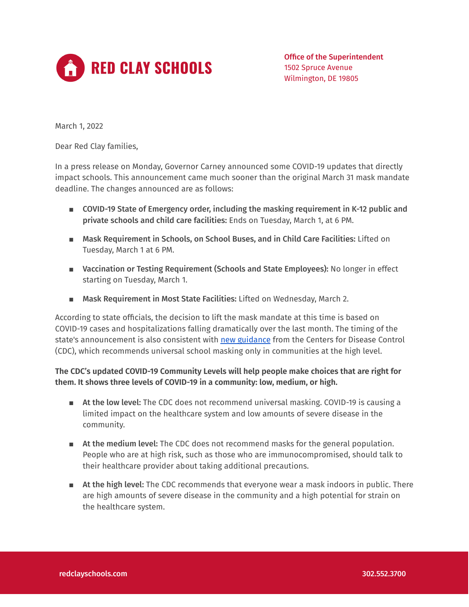

Office of the Superintendent 1502 Spruce Avenue Wilmington, DE 19805

March 1, 2022

Dear Red Clay families,

In a press release on Monday, Governor Carney announced some COVID-19 updates that directly impact schools. This announcement came much sooner than the original March 31 mask mandate deadline. The changes announced are as follows:

- COVID-19 State of Emergency order, including the masking requirement in K-12 public and private schools and child care facilities: Ends on Tuesday, March 1, at 6 PM.
- Mask Requirement in Schools, on School Buses, and in Child Care Facilities: Lifted on Tuesday, March 1 at 6 PM.
- Vaccination or Testing Requirement (Schools and State Employees): No longer in effect starting on Tuesday, March 1.
- Mask Requirement in Most State Facilities: Lifted on Wednesday, March 2.

According to state officials, the decision to lift the mask mandate at this time is based on COVID-19 cases and hospitalizations falling dramatically over the last month. The timing of the state's announcement is also consistent with new [guidance](https://www.cdc.gov/coronavirus/2019-ncov/science/community-levels.html) from the Centers for Disease Control (CDC), which recommends universal school masking only in communities at the high level.

**The CDC's updated COVID-19 Community Levels will help people make choices that are right for them. It shows three levels of COVID-19 in a community: low, medium, or high.**

- At the low level: The CDC does not recommend universal masking. COVID-19 is causing a limited impact on the healthcare system and low amounts of severe disease in the community.
- At the medium level: The CDC does not recommend masks for the general population. People who are at high risk, such as those who are immunocompromised, should talk to their healthcare provider about taking additional precautions.
- At the high level: The CDC recommends that everyone wear a mask indoors in public. There are high amounts of severe disease in the community and a high potential for strain on the healthcare system.